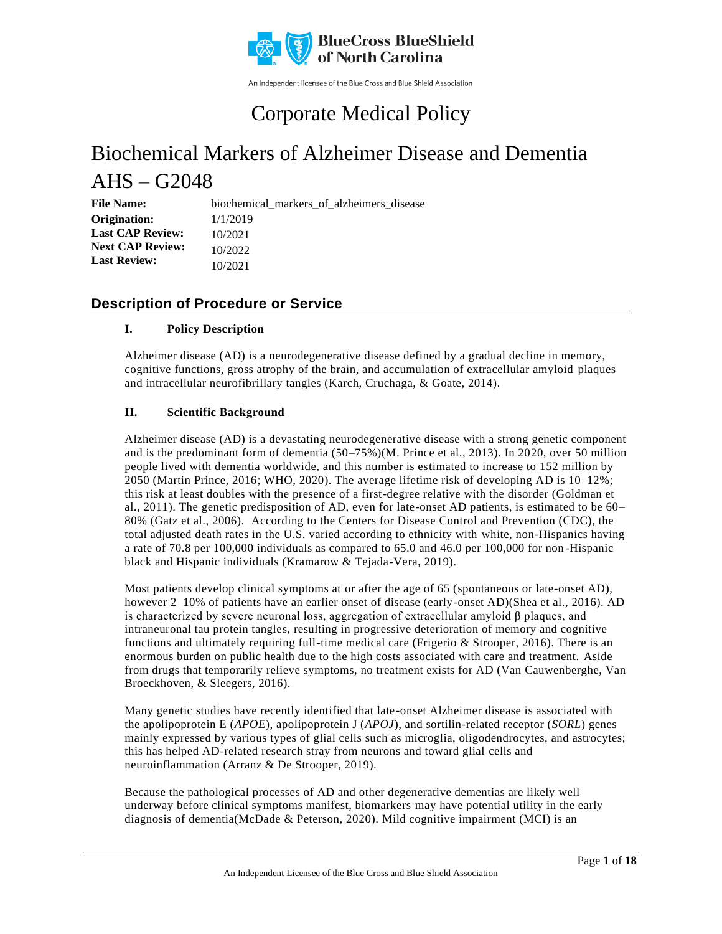

An independent licensee of the Blue Cross and Blue Shield Association

### Corporate Medical Policy

# Biochemical Markers of Alzheimer Disease and Dementia  $A$ HS – G2048

**File Name:** biochemical\_markers\_of\_alzheimers\_disease 1/1/2019 10/2021 10/2022 10/2021 **Origination: Last CAP Review: Next CAP Review: Last Review:**

### **Description of Procedure or Service**

### **I. Policy Description**

Alzheimer disease (AD) is a neurodegenerative disease defined by a gradual decline in memory, cognitive functions, gross atrophy of the brain, and accumulation of extracellular amyloid plaques and intracellular neurofibrillary tangles (Karch, Cruchaga, & Goate, 2014).

### **II. Scientific Background**

Alzheimer disease (AD) is a devastating neurodegenerative disease with a strong genetic component and is the predominant form of dementia (50–75%)(M. Prince et al., 2013). In 2020, over 50 million people lived with dementia worldwide, and this number is estimated to increase to 152 million by 2050 (Martin Prince, 2016; WHO, 2020). The average lifetime risk of developing AD is 10–12%; this risk at least doubles with the presence of a first-degree relative with the disorder (Goldman et al., 2011). The genetic predisposition of AD, even for late-onset AD patients, is estimated to be 60– 80% (Gatz et al., 2006). According to the Centers for Disease Control and Prevention (CDC), the total adjusted death rates in the U.S. varied according to ethnicity with white, non-Hispanics having a rate of 70.8 per 100,000 individuals as compared to 65.0 and 46.0 per 100,000 for non -Hispanic black and Hispanic individuals (Kramarow & Tejada-Vera, 2019).

Most patients develop clinical symptoms at or after the age of 65 (spontaneous or late-onset AD), however 2–10% of patients have an earlier onset of disease (early-onset AD)(Shea et al., 2016). AD is characterized by severe neuronal loss, aggregation of extracellular amyloid  $\beta$  plaques, and intraneuronal tau protein tangles, resulting in progressive deterioration of memory and cognitive functions and ultimately requiring full-time medical care (Frigerio  $&$  Strooper, 2016). There is an enormous burden on public health due to the high costs associated with care and treatment. Aside from drugs that temporarily relieve symptoms, no treatment exists for AD (Van Cauwenberghe, Van Broeckhoven, & Sleegers, 2016).

Many genetic studies have recently identified that late-onset Alzheimer disease is associated with the apolipoprotein E (*APOE*), apolipoprotein J (*APOJ*), and sortilin-related receptor (*SORL*) genes mainly expressed by various types of glial cells such as microglia, oligodendrocytes, and astrocytes; this has helped AD-related research stray from neurons and toward glial cells and neuroinflammation (Arranz & De Strooper, 2019).

Because the pathological processes of AD and other degenerative dementias are likely well underway before clinical symptoms manifest, biomarkers may have potential utility in the early diagnosis of dementia(McDade & Peterson, 2020). Mild cognitive impairment (MCI) is an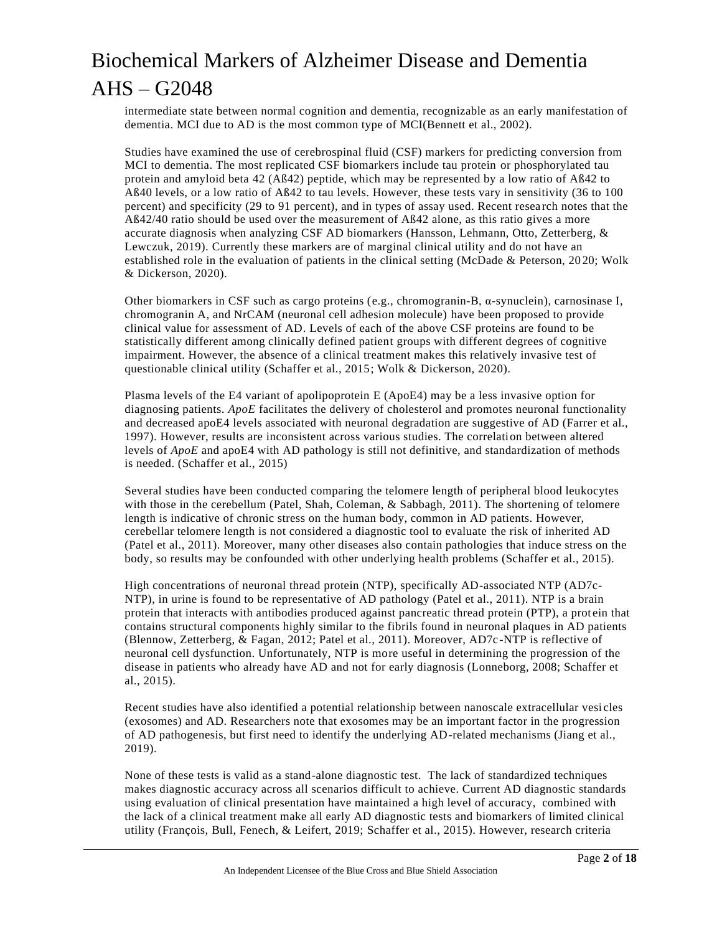intermediate state between normal cognition and dementia, recognizable as an early manifestation of dementia. MCI due to AD is the most common type of MCI(Bennett et al., 2002).

Studies have examined the use of cerebrospinal fluid (CSF) markers for predicting conversion from MCI to dementia. The most replicated CSF biomarkers include tau protein or phosphorylated tau protein and amyloid beta 42 (Aß42) peptide, which may be represented by a low ratio of Aß42 to Aß40 levels, or a low ratio of Aß42 to tau levels. However, these tests vary in sensitivity (36 to 100 percent) and specificity (29 to 91 percent), and in types of assay used. Recent resea rch notes that the Aß42/40 ratio should be used over the measurement of Aß42 alone, as this ratio gives a more accurate diagnosis when analyzing CSF AD biomarkers (Hansson, Lehmann, Otto, Zetterberg, & Lewczuk, 2019). Currently these markers are of marginal clinical utility and do not have an established role in the evaluation of patients in the clinical setting (McDade & Peterson, 20 20; Wolk & Dickerson, 2020).

Other biomarkers in CSF such as cargo proteins (e.g., chromogranin-B, α-synuclein), carnosinase I, chromogranin A, and NrCAM (neuronal cell adhesion molecule) have been proposed to provide clinical value for assessment of AD. Levels of each of the above CSF proteins are found to be statistically different among clinically defined patient groups with different degrees of cognitive impairment. However, the absence of a clinical treatment makes this relatively invasive test of questionable clinical utility (Schaffer et al., 2015; Wolk & Dickerson, 2020).

Plasma levels of the E4 variant of apolipoprotein E (ApoE4) may be a less invasive option for diagnosing patients. *ApoE* facilitates the delivery of cholesterol and promotes neuronal functionality and decreased apoE4 levels associated with neuronal degradation are suggestive of AD (Farrer et al., 1997). However, results are inconsistent across various studies. The correlation between altered levels of *ApoE* and apoE4 with AD pathology is still not definitive, and standardization of methods is needed. (Schaffer et al., 2015)

Several studies have been conducted comparing the telomere length of peripheral blood leukocytes with those in the cerebellum (Patel, Shah, Coleman, & Sabbagh, 2011). The shortening of telomere length is indicative of chronic stress on the human body, common in AD patients. However, cerebellar telomere length is not considered a diagnostic tool to evaluate the risk of inherited AD (Patel et al., 2011). Moreover, many other diseases also contain pathologies that induce stress on the body, so results may be confounded with other underlying health problems (Schaffer et al., 2015).

High concentrations of neuronal thread protein (NTP), specifically AD-associated NTP (AD7c-NTP), in urine is found to be representative of AD pathology (Patel et al., 2011). NTP is a brain protein that interacts with antibodies produced against pancreatic thread protein (PTP), a prot ein that contains structural components highly similar to the fibrils found in neuronal plaques in AD patients (Blennow, Zetterberg, & Fagan, 2012; Patel et al., 2011). Moreover, AD7c-NTP is reflective of neuronal cell dysfunction. Unfortunately, NTP is more useful in determining the progression of the disease in patients who already have AD and not for early diagnosis (Lonneborg, 2008; Schaffer et al., 2015).

Recent studies have also identified a potential relationship between nanoscale extracellular vesi cles (exosomes) and AD. Researchers note that exosomes may be an important factor in the progression of AD pathogenesis, but first need to identify the underlying AD-related mechanisms (Jiang et al., 2019).

None of these tests is valid as a stand-alone diagnostic test. The lack of standardized techniques makes diagnostic accuracy across all scenarios difficult to achieve. Current AD diagnostic standards using evaluation of clinical presentation have maintained a high level of accuracy, combined with the lack of a clinical treatment make all early AD diagnostic tests and biomarkers of limited clinical utility (François, Bull, Fenech, & Leifert, 2019; Schaffer et al., 2015). However, research criteria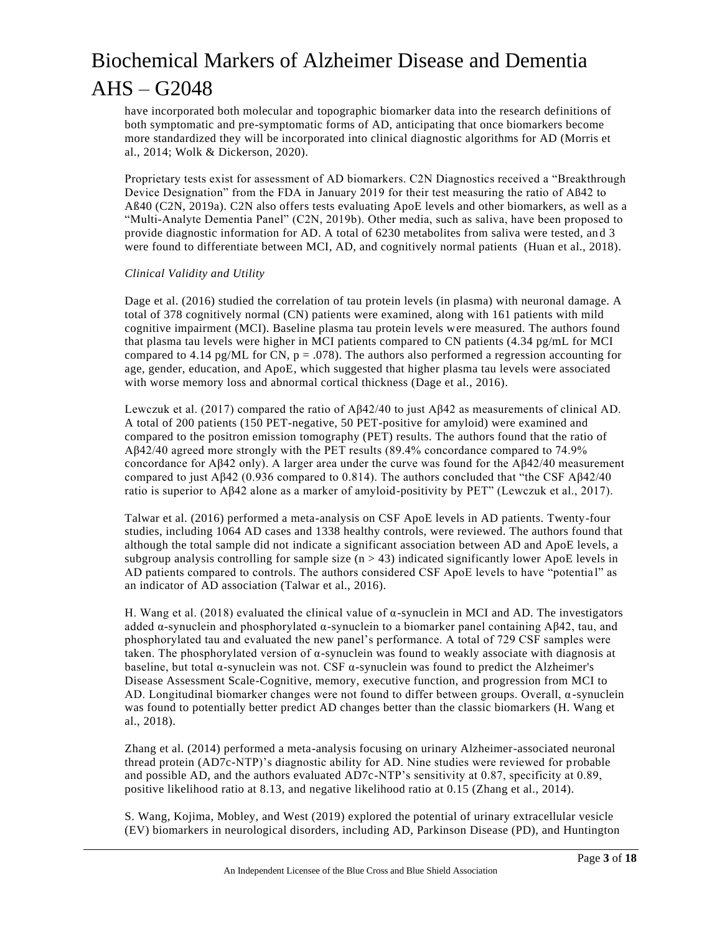have incorporated both molecular and topographic biomarker data into the research definitions of both symptomatic and pre-symptomatic forms of AD, anticipating that once biomarkers become more standardized they will be incorporated into clinical diagnostic algorithms for AD (Morris et al., 2014; Wolk & Dickerson, 2020).

Proprietary tests exist for assessment of AD biomarkers. C2N Diagnostics received a "Breakthrough Device Designation" from the FDA in January 2019 for their test measuring the ratio of Aß42 to Aß40 (C2N, 2019a). C2N also offers tests evaluating ApoE levels and other biomarkers, as well as a "Multi-Analyte Dementia Panel" (C2N, 2019b). Other media, such as saliva, have been proposed to provide diagnostic information for AD. A total of 6230 metabolites from saliva were tested, an d 3 were found to differentiate between MCI, AD, and cognitively normal patients (Huan et al., 2018).

#### *Clinical Validity and Utility*

Dage et al. (2016) studied the correlation of tau protein levels (in plasma) with neuronal damage. A total of 378 cognitively normal (CN) patients were examined, along with 161 patients with mild cognitive impairment (MCI). Baseline plasma tau protein levels were measured. The authors found that plasma tau levels were higher in MCI patients compared to CN patients (4.34 pg/mL for MCI compared to 4.14 pg/ML for CN,  $p = .078$ ). The authors also performed a regression accounting for age, gender, education, and ApoE, which suggested that higher plasma tau levels were associated with worse memory loss and abnormal cortical thickness (Dage et al., 2016).

Lewczuk et al. (2017) compared the ratio of Aβ42/40 to just Aβ42 as measurements of clinical AD. A total of 200 patients (150 PET-negative, 50 PET-positive for amyloid) were examined and compared to the positron emission tomography (PET) results. The authors found that the ratio of Aβ42/40 agreed more strongly with the PET results (89.4% concordance compared to 74.9% concordance for Aβ42 only). A larger area under the curve was found for the Aβ42/40 measurement compared to just Aβ42 (0.936 compared to 0.814). The authors concluded that "the CSF Aβ42/40 ratio is superior to Aβ42 alone as a marker of amyloid-positivity by PET" (Lewczuk et al., 2017).

Talwar et al. (2016) performed a meta-analysis on CSF ApoE levels in AD patients. Twenty-four studies, including 1064 AD cases and 1338 healthy controls, were reviewed. The authors found that although the total sample did not indicate a significant association between AD and ApoE levels, a subgroup analysis controlling for sample size  $(n > 43)$  indicated significantly lower ApoE levels in AD patients compared to controls. The authors considered CSF ApoE levels to have "potentia l" as an indicator of AD association (Talwar et al., 2016).

H. Wang et al. (2018) evaluated the clinical value of  $\alpha$ -synuclein in MCI and AD. The investigators added  $\alpha$ -synuclein and phosphorylated  $\alpha$ -synuclein to a biomarker panel containing A $\beta$ 42, tau, and phosphorylated tau and evaluated the new panel's performance. A total of 729 CSF samples were taken. The phosphorylated version of α-synuclein was found to weakly associate with diagnosis at baseline, but total  $\alpha$ -synuclein was not. CSF  $\alpha$ -synuclein was found to predict the Alzheimer's Disease Assessment Scale-Cognitive, memory, executive function, and progression from MCI to AD. Longitudinal biomarker changes were not found to differ between groups. Overall,  $\alpha$ -synuclein was found to potentially better predict AD changes better than the classic biomarkers (H. Wang et al., 2018).

Zhang et al. (2014) performed a meta-analysis focusing on urinary Alzheimer-associated neuronal thread protein (AD7c-NTP)'s diagnostic ability for AD. Nine studies were reviewed for probable and possible AD, and the authors evaluated AD7c-NTP's sensitivity at 0.87, specificity at 0.89, positive likelihood ratio at 8.13, and negative likelihood ratio at 0.15 (Zhang et al., 2014).

S. Wang, Kojima, Mobley, and West (2019) explored the potential of urinary extracellular vesicle (EV) biomarkers in neurological disorders, including AD, Parkinson Disease (PD), and Huntington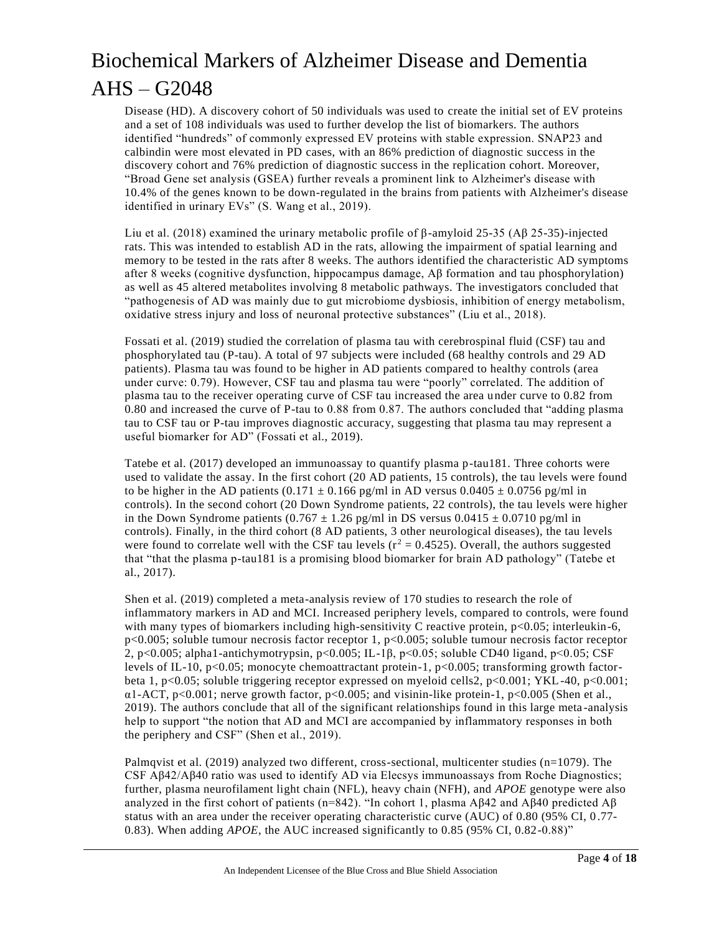Disease (HD). A discovery cohort of 50 individuals was used to create the initial set of EV proteins and a set of 108 individuals was used to further develop the list of biomarkers. The authors identified "hundreds" of commonly expressed EV proteins with stable expression. SNAP23 and calbindin were most elevated in PD cases, with an 86% prediction of diagnostic success in the discovery cohort and 76% prediction of diagnostic success in the replication cohort. Moreover, "Broad Gene set analysis (GSEA) further reveals a prominent link to Alzheimer's disease with 10.4% of the genes known to be down-regulated in the brains from patients with Alzheimer's disease identified in urinary EVs" (S. Wang et al., 2019).

Liu et al. (2018) examined the urinary metabolic profile of  $\beta$ -amyloid 25-35 (A $\beta$  25-35)-injected rats. This was intended to establish AD in the rats, allowing the impairment of spatial learning and memory to be tested in the rats after 8 weeks. The authors identified the characteristic AD symptoms after 8 weeks (cognitive dysfunction, hippocampus damage, Aβ formation and tau phosphorylation) as well as 45 altered metabolites involving 8 metabolic pathways. The investigators concluded that "pathogenesis of AD was mainly due to gut microbiome dysbiosis, inhibition of energy metabolism, oxidative stress injury and loss of neuronal protective substances" (Liu et al., 2018).

Fossati et al. (2019) studied the correlation of plasma tau with cerebrospinal fluid (CSF) tau and phosphorylated tau (P-tau). A total of 97 subjects were included (68 healthy controls and 29 AD patients). Plasma tau was found to be higher in AD patients compared to healthy controls (area under curve: 0.79). However, CSF tau and plasma tau were "poorly" correlated. The addition of plasma tau to the receiver operating curve of CSF tau increased the area under curve to 0.82 from 0.80 and increased the curve of P-tau to 0.88 from 0.87. The authors concluded that "adding plasma tau to CSF tau or P-tau improves diagnostic accuracy, suggesting that plasma tau may represent a useful biomarker for AD" (Fossati et al., 2019).

Tatebe et al. (2017) developed an immunoassay to quantify plasma p-tau181. Three cohorts were used to validate the assay. In the first cohort (20 AD patients, 15 controls), the tau levels were found to be higher in the AD patients  $(0.171 \pm 0.166 \text{ pg/ml} \text{ in AD} \text{ versus } 0.0405 \pm 0.0756 \text{ pg/ml} \text{ in}$ controls). In the second cohort (20 Down Syndrome patients, 22 controls), the tau levels were higher in the Down Syndrome patients  $(0.767 \pm 1.26 \text{ pg/ml}$  in DS versus  $0.0415 \pm 0.0710 \text{ pg/ml}$  in controls). Finally, in the third cohort (8 AD patients, 3 other neurological diseases), the tau levels were found to correlate well with the CSF tau levels ( $r^2 = 0.4525$ ). Overall, the authors suggested that "that the plasma p-tau181 is a promising blood biomarker for brain AD pathology" (Tatebe et al., 2017).

Shen et al. (2019) completed a meta-analysis review of 170 studies to research the role of inflammatory markers in AD and MCI. Increased periphery levels, compared to controls, were found with many types of biomarkers including high-sensitivity C reactive protein,  $p<0.05$ ; interleukin-6, p<0.005; soluble tumour necrosis factor receptor 1, p<0.005; soluble tumour necrosis factor receptor 2, p<0.005; alpha1-antichymotrypsin, p<0.005; IL-1β, p<0.05; soluble CD40 ligand, p<0.05; CSF levels of IL-10, p<0.05; monocyte chemoattractant protein-1, p<0.005; transforming growth factorbeta 1, p<0.05; soluble triggering receptor expressed on myeloid cells2, p<0.001; YKL-40, p<0.001;  $\alpha$ 1-ACT, p<0.001; nerve growth factor, p<0.005; and visinin-like protein-1, p<0.005 (Shen et al., 2019). The authors conclude that all of the significant relationships found in this large meta -analysis help to support "the notion that AD and MCI are accompanied by inflammatory responses in both the periphery and CSF" (Shen et al., 2019).

Palmqvist et al. (2019) analyzed two different, cross-sectional, multicenter studies (n=1079). The CSF Aβ42/Aβ40 ratio was used to identify AD via Elecsys immunoassays from Roche Diagnostics; further, plasma neurofilament light chain (NFL), heavy chain (NFH), and *APOE* genotype were also analyzed in the first cohort of patients (n=842). "In cohort 1, plasma  $\Delta \beta$ 42 and  $\Delta \beta$ 40 predicted  $\Delta \beta$ status with an area under the receiver operating characteristic curve (AUC) of 0.80 (95% CI, 0.77-0.83). When adding *APOE*, the AUC increased significantly to 0.85 (95% CI, 0.82-0.88)"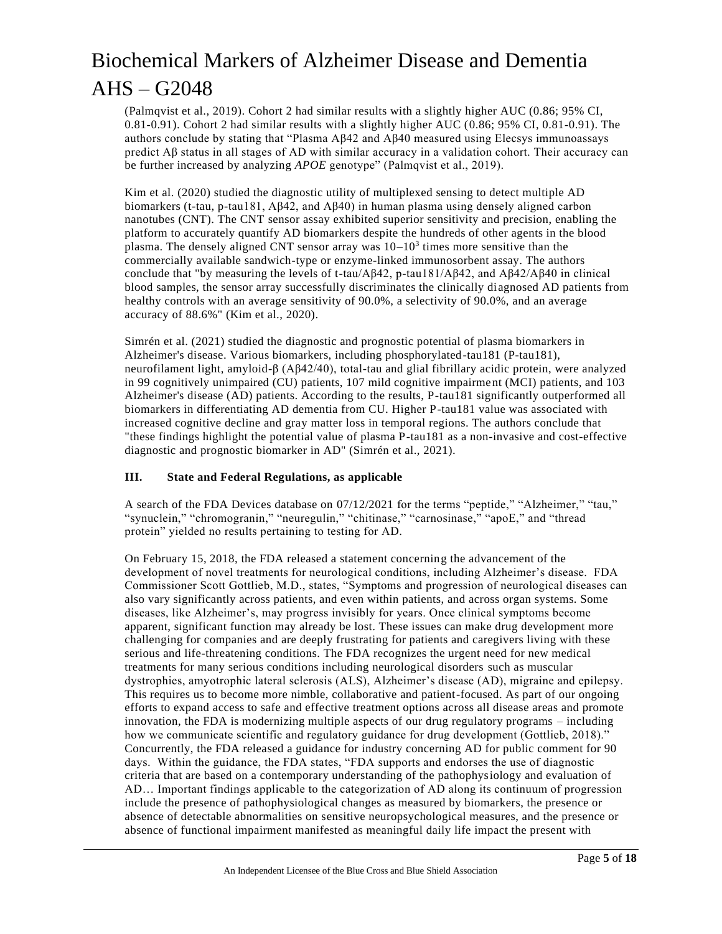(Palmqvist et al., 2019). Cohort 2 had similar results with a slightly higher AUC (0.86; 95% CI, 0.81-0.91). Cohort 2 had similar results with a slightly higher AUC (0.86; 95% CI, 0.81-0.91). The authors conclude by stating that "Plasma Aβ42 and Aβ40 measured using Elecsys immunoassays predict Aβ status in all stages of AD with similar accuracy in a validation cohort. Their accuracy can be further increased by analyzing *APOE* genotype" (Palmqvist et al., 2019).

Kim et al. (2020) studied the diagnostic utility of multiplexed sensing to detect multiple AD biomarkers (t-tau, p-tau181, Aβ42, and Aβ40) in human plasma using densely aligned carbon nanotubes (CNT). The CNT sensor assay exhibited superior sensitivity and precision, enabling the platform to accurately quantify AD biomarkers despite the hundreds of other agents in the blood plasma. The densely aligned CNT sensor array was  $10-10<sup>3</sup>$  times more sensitive than the commercially available sandwich-type or enzyme-linked immunosorbent assay. The authors conclude that "by measuring the levels of t-tau/ $A\beta42$ , p-tau181/ $A\beta42$ , and  $A\beta42/A\beta40$  in clinical blood samples, the sensor array successfully discriminates the clinically diagnosed AD patients from healthy controls with an average sensitivity of 90.0%, a selectivity of 90.0%, and an average accuracy of 88.6%" (Kim et al., 2020).

Simrén et al. (2021) studied the diagnostic and prognostic potential of plasma biomarkers in Alzheimer's disease. Various biomarkers, including phosphorylated-tau181 (P-tau181), neurofilament light, amyloid-β (Aβ42/40), total-tau and glial fibrillary acidic protein, were analyzed in 99 cognitively unimpaired (CU) patients, 107 mild cognitive impairment (MCI) patients, and 103 Alzheimer's disease (AD) patients. According to the results, P-tau181 significantly outperformed all biomarkers in differentiating AD dementia from CU. Higher P-tau181 value was associated with increased cognitive decline and gray matter loss in temporal regions. The authors conclude that "these findings highlight the potential value of plasma P-tau181 as a non-invasive and cost-effective diagnostic and prognostic biomarker in AD" (Simrén et al., 2021).

#### **III. State and Federal Regulations, as applicable**

A search of the FDA Devices database on 07/12/2021 for the terms "peptide," "Alzheimer," "tau," "synuclein," "chromogranin," "neuregulin," "chitinase," "carnosinase," "apoE," and "thread protein" yielded no results pertaining to testing for AD.

On February 15, 2018, the FDA released a statement concerning the advancement of the development of novel treatments for neurological conditions, including Alzheimer's disease. FDA Commissioner Scott Gottlieb, M.D., states, "Symptoms and progression of neurological diseases can also vary significantly across patients, and even within patients, and across organ systems. Some diseases, like Alzheimer's, may progress invisibly for years. Once clinical symptoms become apparent, significant function may already be lost. These issues can make drug development more challenging for companies and are deeply frustrating for patients and caregivers living with these serious and life-threatening conditions. The FDA recognizes the urgent need for new medical treatments for many serious conditions including neurological disorders such as muscular dystrophies, amyotrophic lateral sclerosis (ALS), Alzheimer's disease (AD), migraine and epilepsy. This requires us to become more nimble, collaborative and patient-focused. As part of our ongoing efforts to expand access to safe and effective treatment options across all disease areas and promote innovation, the FDA is modernizing multiple aspects of our drug regulatory programs – including how we communicate scientific and regulatory guidance for drug development (Gottlieb, 2018)." Concurrently, the FDA released a guidance for industry concerning AD for public comment for 90 days. Within the guidance, the FDA states, "FDA supports and endorses the use of diagnostic criteria that are based on a contemporary understanding of the pathophysiology and evaluation of AD… Important findings applicable to the categorization of AD along its continuum of progression include the presence of pathophysiological changes as measured by biomarkers, the presence or absence of detectable abnormalities on sensitive neuropsychological measures, and the presence or absence of functional impairment manifested as meaningful daily life impact the present with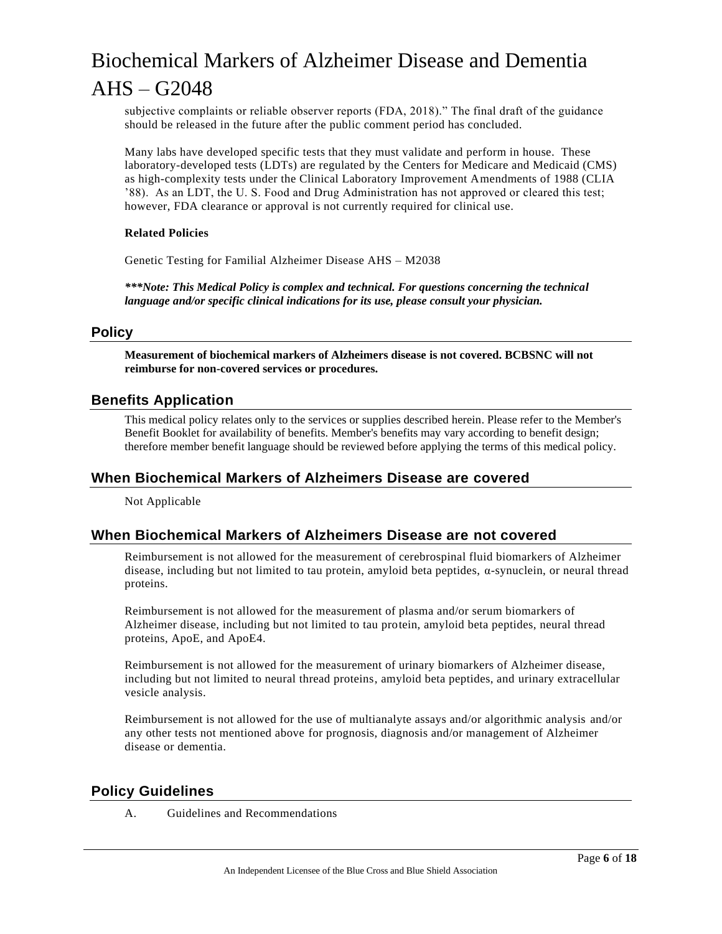subjective complaints or reliable observer reports (FDA, 2018)." The final draft of the guidance should be released in the future after the public comment period has concluded.

Many labs have developed specific tests that they must validate and perform in house. These laboratory-developed tests (LDTs) are regulated by the Centers for Medicare and Medicaid (CMS) as high-complexity tests under the Clinical Laboratory Improvement Amendments of 1988 (CLIA '88). As an LDT, the U. S. Food and Drug Administration has not approved or cleared this test; however, FDA clearance or approval is not currently required for clinical use.

#### **Related Policies**

Genetic Testing for Familial Alzheimer Disease AHS – M2038

*\*\*\*Note: This Medical Policy is complex and technical. For questions concerning the technical language and/or specific clinical indications for its use, please consult your physician.*

### **Policy**

**Measurement of biochemical markers of Alzheimers disease is not covered. BCBSNC will not reimburse for non-covered services or procedures.**

### **Benefits Application**

This medical policy relates only to the services or supplies described herein. Please refer to the Member's Benefit Booklet for availability of benefits. Member's benefits may vary according to benefit design; therefore member benefit language should be reviewed before applying the terms of this medical policy.

### **When Biochemical Markers of Alzheimers Disease are covered**

Not Applicable

### **When Biochemical Markers of Alzheimers Disease are not covered**

Reimbursement is not allowed for the measurement of cerebrospinal fluid biomarkers of Alzheimer disease, including but not limited to tau protein, amyloid beta peptides, α-synuclein, or neural thread proteins.

Reimbursement is not allowed for the measurement of plasma and/or serum biomarkers of Alzheimer disease, including but not limited to tau protein, amyloid beta peptides, neural thread proteins, ApoE, and ApoE4.

Reimbursement is not allowed for the measurement of urinary biomarkers of Alzheimer disease, including but not limited to neural thread proteins, amyloid beta peptides, and urinary extracellular vesicle analysis.

Reimbursement is not allowed for the use of multianalyte assays and/or algorithmic analysis and/or any other tests not mentioned above for prognosis, diagnosis and/or management of Alzheimer disease or dementia.

### **Policy Guidelines**

A. Guidelines and Recommendations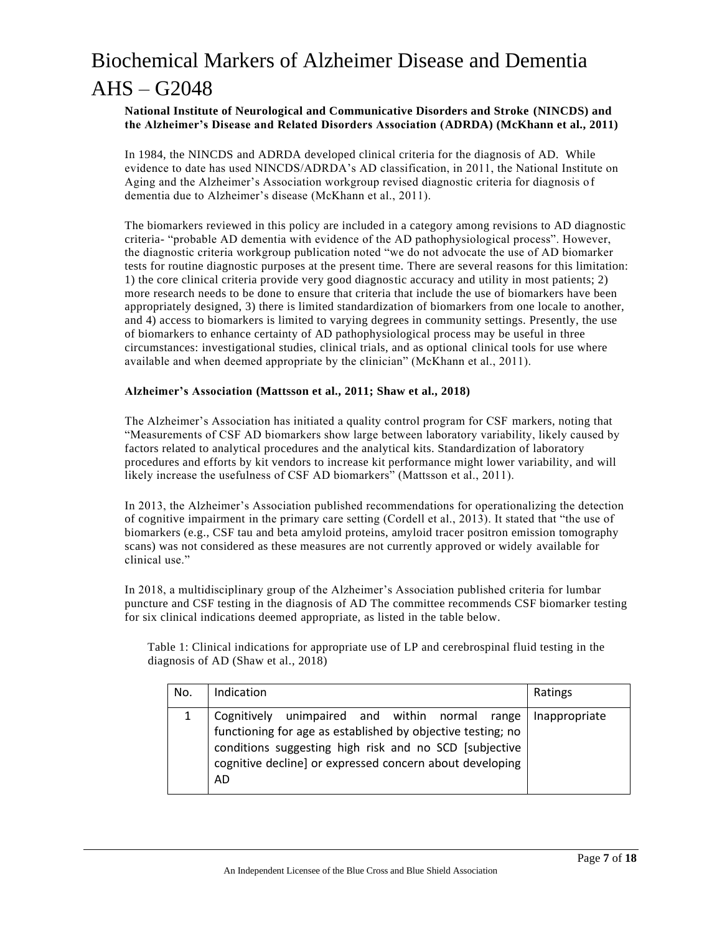#### **National Institute of Neurological and Communicative Disorders and Stroke (NINCDS) and the Alzheimer's Disease and Related Disorders Association (ADRDA) (McKhann et al., 2011)**

In 1984, the NINCDS and ADRDA developed clinical criteria for the diagnosis of AD. While evidence to date has used NINCDS/ADRDA's AD classification, in 2011, the National Institute on Aging and the Alzheimer's Association workgroup revised diagnostic criteria for diagnosis of dementia due to Alzheimer's disease (McKhann et al., 2011).

The biomarkers reviewed in this policy are included in a category among revisions to AD diagnostic criteria- "probable AD dementia with evidence of the AD pathophysiological process". However, the diagnostic criteria workgroup publication noted "we do not advocate the use of AD biomarker tests for routine diagnostic purposes at the present time. There are several reasons for this limitation: 1) the core clinical criteria provide very good diagnostic accuracy and utility in most patients; 2) more research needs to be done to ensure that criteria that include the use of biomarkers have been appropriately designed, 3) there is limited standardization of biomarkers from one locale to another, and 4) access to biomarkers is limited to varying degrees in community settings. Presently, the use of biomarkers to enhance certainty of AD pathophysiological process may be useful in three circumstances: investigational studies, clinical trials, and as optional clinical tools for use where available and when deemed appropriate by the clinician" (McKhann et al., 2011).

#### **Alzheimer's Association (Mattsson et al., 2011; Shaw et al., 2018)**

The Alzheimer's Association has initiated a quality control program for CSF markers, noting that "Measurements of CSF AD biomarkers show large between laboratory variability, likely caused by factors related to analytical procedures and the analytical kits. Standardization of laboratory procedures and efforts by kit vendors to increase kit performance might lower variability, and will likely increase the usefulness of CSF AD biomarkers" (Mattsson et al., 2011).

In 2013, the Alzheimer's Association published recommendations for operationalizing the detection of cognitive impairment in the primary care setting (Cordell et al., 2013). It stated that "the use of biomarkers (e.g., CSF tau and beta amyloid proteins, amyloid tracer positron emission tomography scans) was not considered as these measures are not currently approved or widely available for clinical use."

In 2018, a multidisciplinary group of the Alzheimer's Association published criteria for lumbar puncture and CSF testing in the diagnosis of AD The committee recommends CSF biomarker testing for six clinical indications deemed appropriate, as listed in the table below.

 Table 1: Clinical indications for appropriate use of LP and cerebrospinal fluid testing in the diagnosis of AD (Shaw et al., 2018)

| No. | Indication                                                                                                                                                                                                                                       | Ratings       |
|-----|--------------------------------------------------------------------------------------------------------------------------------------------------------------------------------------------------------------------------------------------------|---------------|
|     | Cognitively unimpaired and within normal range<br>functioning for age as established by objective testing; no<br>conditions suggesting high risk and no SCD [subjective<br>cognitive decline] or expressed concern about developing<br><b>AD</b> | Inappropriate |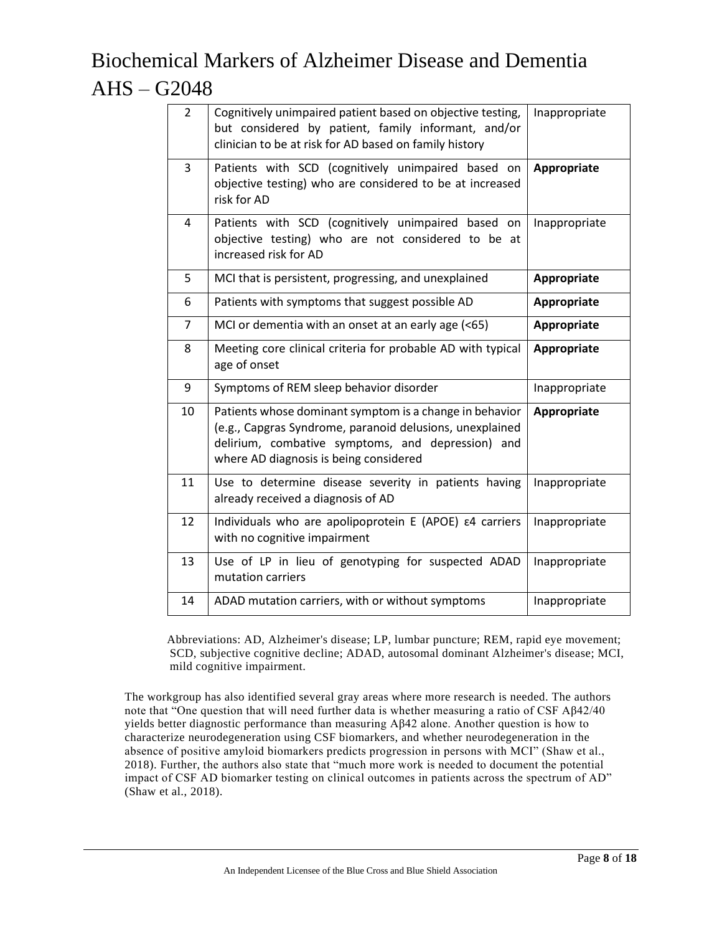| $\overline{2}$ | Cognitively unimpaired patient based on objective testing,<br>but considered by patient, family informant, and/or<br>clinician to be at risk for AD based on family history                                        | Inappropriate |
|----------------|--------------------------------------------------------------------------------------------------------------------------------------------------------------------------------------------------------------------|---------------|
| 3              | Patients with SCD (cognitively unimpaired based on<br>objective testing) who are considered to be at increased<br>risk for AD                                                                                      | Appropriate   |
| 4              | Patients with SCD (cognitively unimpaired based on<br>objective testing) who are not considered to be at<br>increased risk for AD                                                                                  | Inappropriate |
| 5              | MCI that is persistent, progressing, and unexplained                                                                                                                                                               | Appropriate   |
| 6              | Patients with symptoms that suggest possible AD                                                                                                                                                                    | Appropriate   |
| $\overline{7}$ | MCI or dementia with an onset at an early age (<65)                                                                                                                                                                | Appropriate   |
| 8              | Meeting core clinical criteria for probable AD with typical<br>age of onset                                                                                                                                        | Appropriate   |
| 9              | Symptoms of REM sleep behavior disorder                                                                                                                                                                            | Inappropriate |
| 10             | Patients whose dominant symptom is a change in behavior<br>(e.g., Capgras Syndrome, paranoid delusions, unexplained<br>delirium, combative symptoms, and depression) and<br>where AD diagnosis is being considered | Appropriate   |
| 11             | Use to determine disease severity in patients having<br>already received a diagnosis of AD                                                                                                                         | Inappropriate |
| 12             | Individuals who are apolipoprotein E (APOE) $\epsilon$ 4 carriers<br>with no cognitive impairment                                                                                                                  | Inappropriate |
| 13             | Use of LP in lieu of genotyping for suspected ADAD<br>mutation carriers                                                                                                                                            | Inappropriate |
| 14             | ADAD mutation carriers, with or without symptoms                                                                                                                                                                   | Inappropriate |

Abbreviations: AD, Alzheimer's disease; LP, lumbar puncture; REM, rapid eye movement; SCD, subjective cognitive decline; ADAD, autosomal dominant Alzheimer's disease; MCI, mild cognitive impairment.

The workgroup has also identified several gray areas where more research is needed. The authors note that "One question that will need further data is whether measuring a ratio of CSF Aβ42/40 yields better diagnostic performance than measuring Aβ42 alone. Another question is how to characterize neurodegeneration using CSF biomarkers, and whether neurodegeneration in the absence of positive amyloid biomarkers predicts progression in persons with MCI" (Shaw et al., 2018). Further, the authors also state that "much more work is needed to document the potential impact of CSF AD biomarker testing on clinical outcomes in patients across the spectrum of AD" (Shaw et al., 2018).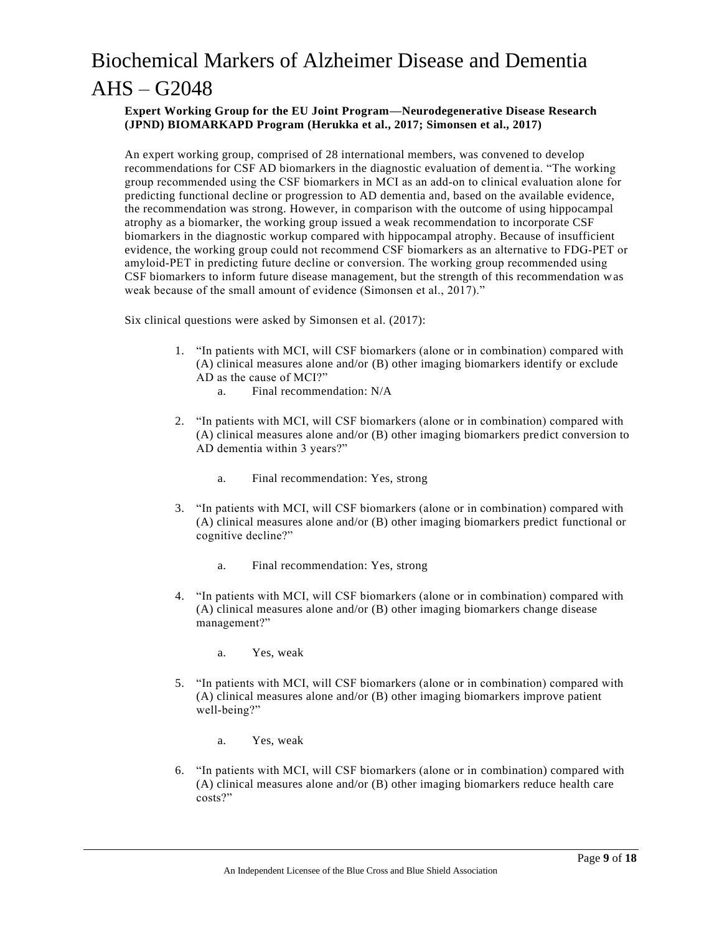#### **Expert Working Group for the EU Joint Program—Neurodegenerative Disease Research (JPND) BIOMARKAPD Program (Herukka et al., 2017; Simonsen et al., 2017)**

An expert working group, comprised of 28 international members, was convened to develop recommendations for CSF AD biomarkers in the diagnostic evaluation of dementia. "The working group recommended using the CSF biomarkers in MCI as an add‐on to clinical evaluation alone for predicting functional decline or progression to AD dementia and, based on the available evidence, the recommendation was strong. However, in comparison with the outcome of using hippocampal atrophy as a biomarker, the working group issued a weak recommendation to incorporate CSF biomarkers in the diagnostic workup compared with hippocampal atrophy. Because of insufficient evidence, the working group could not recommend CSF biomarkers as an alternative to FDG‐PET or amyloid‐PET in predicting future decline or conversion. The working group recommended using CSF biomarkers to inform future disease management, but the strength of this recommendation was weak because of the small amount of evidence (Simonsen et al., 2017)."

Six clinical questions were asked by Simonsen et al. (2017):

- 1. "In patients with MCI, will CSF biomarkers (alone or in combination) compared with (A) clinical measures alone and/or (B) other imaging biomarkers identify or exclude AD as the cause of MCI?"
	- a. Final recommendation: N/A
- 2. "In patients with MCI, will CSF biomarkers (alone or in combination) compared with (A) clinical measures alone and/or (B) other imaging biomarkers predict conversion to AD dementia within 3 years?"
	- a. Final recommendation: Yes, strong
- 3. "In patients with MCI, will CSF biomarkers (alone or in combination) compared with (A) clinical measures alone and/or (B) other imaging biomarkers predict functional or cognitive decline?"
	- a. Final recommendation: Yes, strong
- 4. "In patients with MCI, will CSF biomarkers (alone or in combination) compared with (A) clinical measures alone and/or (B) other imaging biomarkers change disease management?"
	- a. Yes, weak
- 5. "In patients with MCI, will CSF biomarkers (alone or in combination) compared with (A) clinical measures alone and/or (B) other imaging biomarkers improve patient well‐being?"
	- a. Yes, weak
- 6. "In patients with MCI, will CSF biomarkers (alone or in combination) compared with (A) clinical measures alone and/or (B) other imaging biomarkers reduce health care costs?"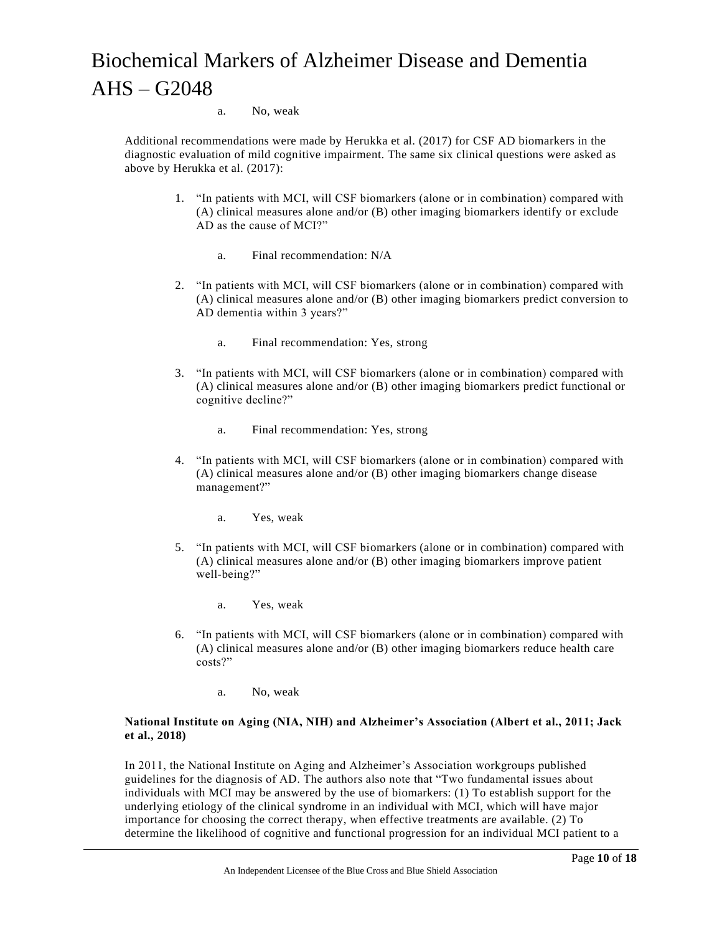#### a. No, weak

Additional recommendations were made by Herukka et al. (2017) for CSF AD biomarkers in the diagnostic evaluation of mild cognitive impairment. The same six clinical questions were asked as above by Herukka et al. (2017):

- 1. "In patients with MCI, will CSF biomarkers (alone or in combination) compared with (A) clinical measures alone and/or (B) other imaging biomarkers identify or exclude AD as the cause of MCI?"
	- a. Final recommendation: N/A
- 2. "In patients with MCI, will CSF biomarkers (alone or in combination) compared with (A) clinical measures alone and/or (B) other imaging biomarkers predict conversion to AD dementia within 3 years?"
	- a. Final recommendation: Yes, strong
- 3. "In patients with MCI, will CSF biomarkers (alone or in combination) compared with (A) clinical measures alone and/or (B) other imaging biomarkers predict functional or cognitive decline?"
	- a. Final recommendation: Yes, strong
- 4. "In patients with MCI, will CSF biomarkers (alone or in combination) compared with (A) clinical measures alone and/or (B) other imaging biomarkers change disease management?"
	- a. Yes, weak
- 5. "In patients with MCI, will CSF biomarkers (alone or in combination) compared with (A) clinical measures alone and/or (B) other imaging biomarkers improve patient well-being?"
	- a. Yes, weak
- 6. "In patients with MCI, will CSF biomarkers (alone or in combination) compared with (A) clinical measures alone and/or (B) other imaging biomarkers reduce health care costs?"
	- a. No, weak

#### **National Institute on Aging (NIA, NIH) and Alzheimer's Association (Albert et al., 2011; Jack et al., 2018)**

In 2011, the National Institute on Aging and Alzheimer's Association workgroups published guidelines for the diagnosis of AD. The authors also note that "Two fundamental issues about individuals with MCI may be answered by the use of biomarkers: (1) To establish support for the underlying etiology of the clinical syndrome in an individual with MCI, which will have major importance for choosing the correct therapy, when effective treatments are available. (2) To determine the likelihood of cognitive and functional progression for an individual MCI patient to a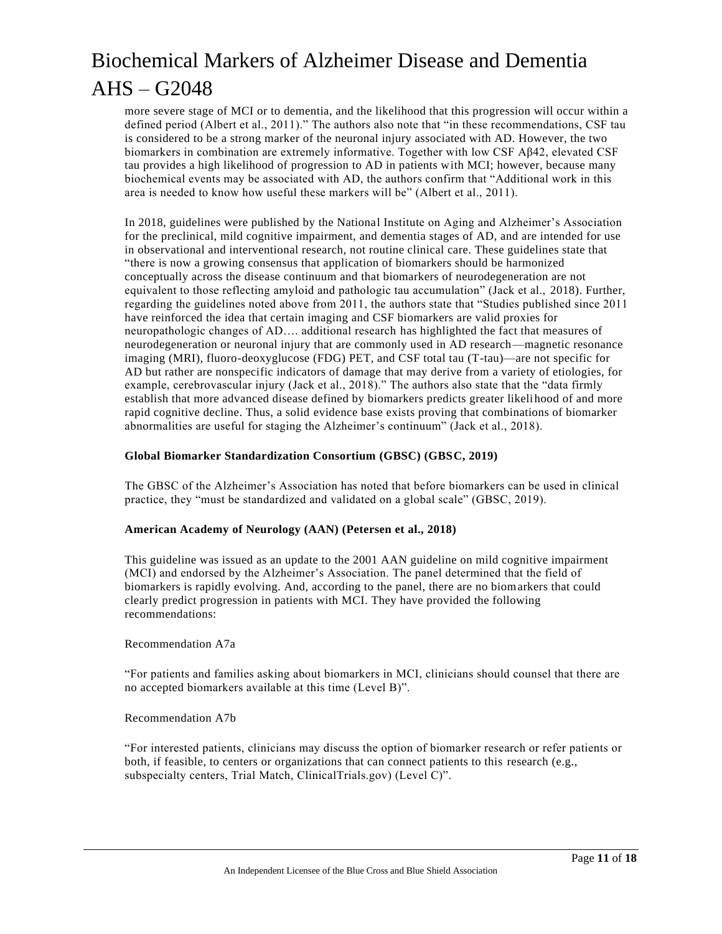more severe stage of MCI or to dementia, and the likelihood that this progression will occur within a defined period (Albert et al., 2011)." The authors also note that "in these recommendations, CSF tau is considered to be a strong marker of the neuronal injury associated with AD. However, the two biomarkers in combination are extremely informative. Together with low CSF Aβ42, elevated CSF tau provides a high likelihood of progression to AD in patients with MCI; however, because many biochemical events may be associated with AD, the authors confirm that "Additional work in this area is needed to know how useful these markers will be" (Albert et al., 2011).

In 2018, guidelines were published by the National Institute on Aging and Alzheimer's Association for the preclinical, mild cognitive impairment, and dementia stages of AD, and are intended for use in observational and interventional research, not routine clinical care. These guidelines state that "there is now a growing consensus that application of biomarkers should be harmonized conceptually across the disease continuum and that biomarkers of neurodegeneration are not equivalent to those reflecting amyloid and pathologic tau accumulation" (Jack et al., 2018). Further, regarding the guidelines noted above from 2011, the authors state that "Studies published since 2011 have reinforced the idea that certain imaging and CSF biomarkers are valid proxies for neuropathologic changes of AD…. additional research has highlighted the fact that measures of neurodegeneration or neuronal injury that are commonly used in AD research—magnetic resonance imaging (MRI), fluoro-deoxyglucose (FDG) PET, and CSF total tau (T-tau)—are not specific for AD but rather are nonspecific indicators of damage that may derive from a variety of etiologies, for example, cerebrovascular injury (Jack et al., 2018)." The authors also state that the "data firmly establish that more advanced disease defined by biomarkers predicts greater likelihood of and more rapid cognitive decline. Thus, a solid evidence base exists proving that combinations of biomarker abnormalities are useful for staging the Alzheimer's continuum" (Jack et al., 2018).

#### **Global Biomarker Standardization Consortium (GBSC) (GBSC, 2019)**

The GBSC of the Alzheimer's Association has noted that before biomarkers can be used in clinical practice, they "must be standardized and validated on a global scale" (GBSC, 2019).

#### **American Academy of Neurology (AAN) (Petersen et al., 2018)**

This guideline was issued as an update to the 2001 AAN guideline on mild cognitive impairment (MCI) and endorsed by the Alzheimer's Association. The panel determined that the field of biomarkers is rapidly evolving. And, according to the panel, there are no biomarkers that could clearly predict progression in patients with MCI. They have provided the following recommendations:

Recommendation A7a

"For patients and families asking about biomarkers in MCI, clinicians should counsel that there are no accepted biomarkers available at this time (Level B)".

Recommendation A7b

"For interested patients, clinicians may discuss the option of biomarker research or refer patients or both, if feasible, to centers or organizations that can connect patients to this research (e.g., subspecialty centers, Trial Match, ClinicalTrials.gov) (Level C)".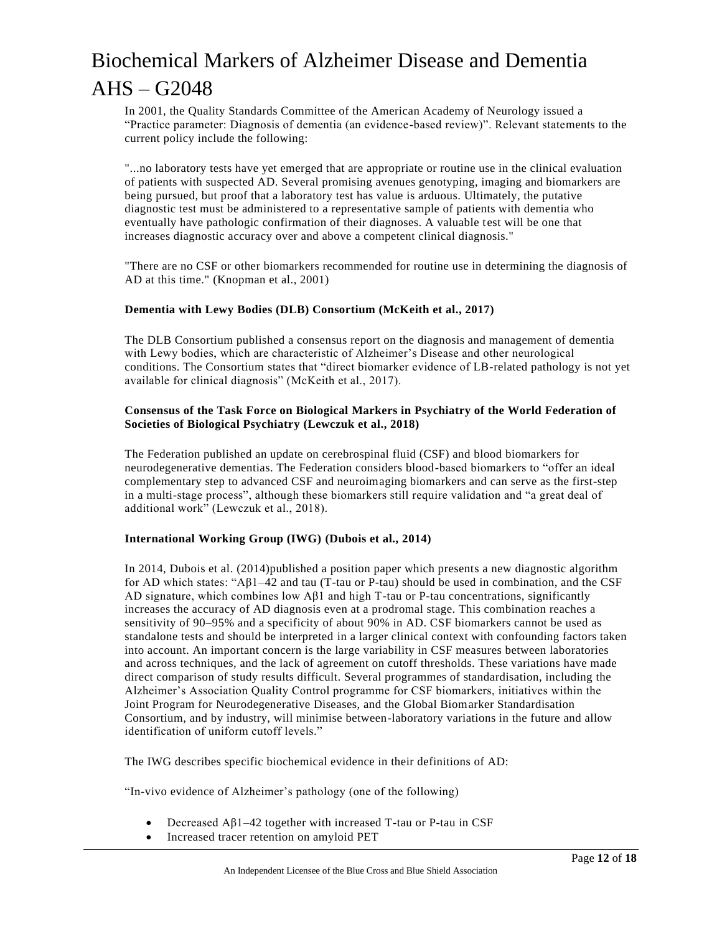In 2001, the Quality Standards Committee of the American Academy of Neurology issued a "Practice parameter: Diagnosis of dementia (an evidence-based review)". Relevant statements to the current policy include the following:

"...no laboratory tests have yet emerged that are appropriate or routine use in the clinical evaluation of patients with suspected AD. Several promising avenues genotyping, imaging and biomarkers are being pursued, but proof that a laboratory test has value is arduous. Ultimately, the putative diagnostic test must be administered to a representative sample of patients with dementia who eventually have pathologic confirmation of their diagnoses. A valuable test will be one that increases diagnostic accuracy over and above a competent clinical diagnosis."

"There are no CSF or other biomarkers recommended for routine use in determining the diagnosis of AD at this time." (Knopman et al., 2001)

#### **Dementia with Lewy Bodies (DLB) Consortium (McKeith et al., 2017)**

The DLB Consortium published a consensus report on the diagnosis and management of dementia with Lewy bodies, which are characteristic of Alzheimer's Disease and other neurological conditions. The Consortium states that "direct biomarker evidence of LB-related pathology is not yet available for clinical diagnosis" (McKeith et al., 2017).

#### **Consensus of the Task Force on Biological Markers in Psychiatry of the World Federation of Societies of Biological Psychiatry (Lewczuk et al., 2018)**

The Federation published an update on cerebrospinal fluid (CSF) and blood biomarkers for neurodegenerative dementias. The Federation considers blood-based biomarkers to "offer an ideal complementary step to advanced CSF and neuroimaging biomarkers and can serve as the first-step in a multi-stage process", although these biomarkers still require validation and "a great deal of additional work" (Lewczuk et al., 2018).

### **International Working Group (IWG) (Dubois et al., 2014)**

In 2014, Dubois et al. (2014)published a position paper which presents a new diagnostic algorithm for AD which states: "A $\beta$ 1–42 and tau (T-tau or P-tau) should be used in combination, and the CSF AD signature, which combines low  $A\beta1$  and high T-tau or P-tau concentrations, significantly increases the accuracy of AD diagnosis even at a prodromal stage. This combination reaches a sensitivity of 90–95% and a specificity of about 90% in AD. CSF biomarkers cannot be used as standalone tests and should be interpreted in a larger clinical context with confounding factors taken into account. An important concern is the large variability in CSF measures between laboratories and across techniques, and the lack of agreement on cutoff thresholds. These variations have made direct comparison of study results difficult. Several programmes of standardisation, including the Alzheimer's Association Quality Control programme for CSF biomarkers, initiatives within the Joint Program for Neurodegenerative Diseases, and the Global Biomarker Standardisation Consortium, and by industry, will minimise between-laboratory variations in the future and allow identification of uniform cutoff levels."

The IWG describes specific biochemical evidence in their definitions of AD:

"In-vivo evidence of Alzheimer's pathology (one of the following)

- Decreased  $A\beta1-42$  together with increased T-tau or P-tau in CSF
- Increased tracer retention on amyloid PET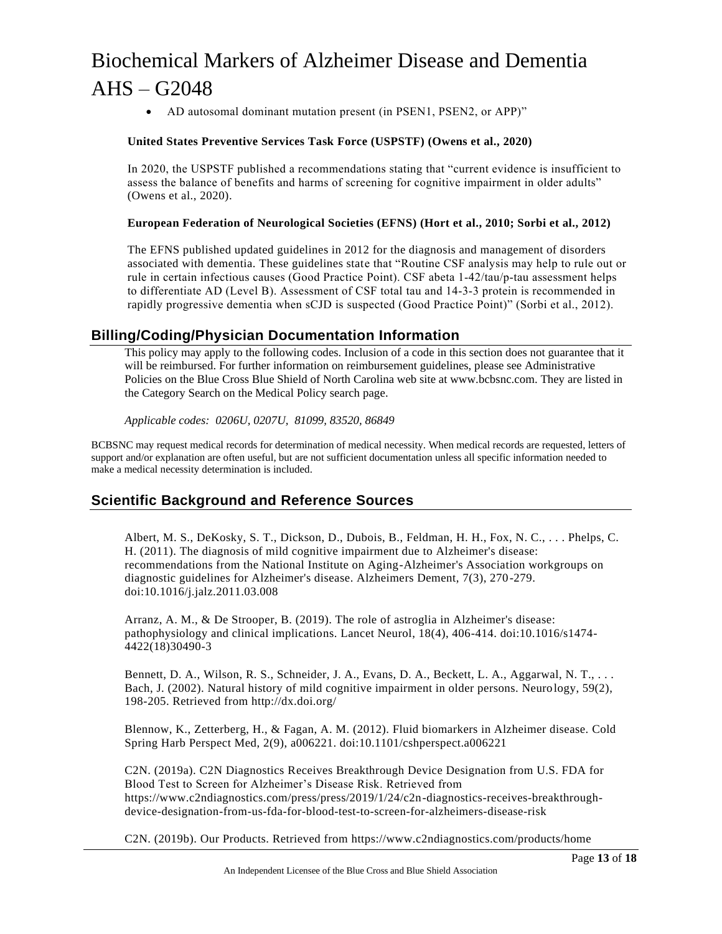• AD autosomal dominant mutation present (in PSEN1, PSEN2, or APP)"

### **United States Preventive Services Task Force (USPSTF) (Owens et al., 2020)**

In 2020, the USPSTF published a recommendations stating that "current evidence is insufficient to assess the balance of benefits and harms of screening for cognitive impairment in older adults" (Owens et al., 2020).

#### **European Federation of Neurological Societies (EFNS) (Hort et al., 2010; Sorbi et al., 2012)**

The EFNS published updated guidelines in 2012 for the diagnosis and management of disorders associated with dementia. These guidelines state that "Routine CSF analysis may help to rule out or rule in certain infectious causes (Good Practice Point). CSF abeta 1‐42/tau/p‐tau assessment helps to differentiate AD (Level B). Assessment of CSF total tau and 14‐3‐3 protein is recommended in rapidly progressive dementia when sCJD is suspected (Good Practice Point)" (Sorbi et al., 2012).

### **Billing/Coding/Physician Documentation Information**

This policy may apply to the following codes. Inclusion of a code in this section does not guarantee that it will be reimbursed. For further information on reimbursement guidelines, please see Administrative Policies on the Blue Cross Blue Shield of North Carolina web site at www.bcbsnc.com. They are listed in the Category Search on the Medical Policy search page.

*Applicable codes: 0206U, 0207U, 81099, 83520, 86849*

BCBSNC may request medical records for determination of medical necessity. When medical records are requested, letters of support and/or explanation are often useful, but are not sufficient documentation unless all specific information needed to make a medical necessity determination is included.

### **Scientific Background and Reference Sources**

Albert, M. S., DeKosky, S. T., Dickson, D., Dubois, B., Feldman, H. H., Fox, N. C., . . . Phelps, C. H. (2011). The diagnosis of mild cognitive impairment due to Alzheimer's disease: recommendations from the National Institute on Aging-Alzheimer's Association workgroups on diagnostic guidelines for Alzheimer's disease. Alzheimers Dement, 7(3), 270-279. doi:10.1016/j.jalz.2011.03.008

Arranz, A. M., & De Strooper, B. (2019). The role of astroglia in Alzheimer's disease: pathophysiology and clinical implications. Lancet Neurol, 18(4), 406-414. doi:10.1016/s1474- 4422(18)30490-3

Bennett, D. A., Wilson, R. S., Schneider, J. A., Evans, D. A., Beckett, L. A., Aggarwal, N. T., ... Bach, J. (2002). Natural history of mild cognitive impairment in older persons. Neuro logy, 59(2), 198-205. Retrieved from http://dx.doi.org/

Blennow, K., Zetterberg, H., & Fagan, A. M. (2012). Fluid biomarkers in Alzheimer disease. Cold Spring Harb Perspect Med, 2(9), a006221. doi:10.1101/cshperspect.a006221

C2N. (2019a). C2N Diagnostics Receives Breakthrough Device Designation from U.S. FDA for Blood Test to Screen for Alzheimer's Disease Risk. Retrieved from https://www.c2ndiagnostics.com/press/press/2019/1/24/c2n-diagnostics-receives-breakthroughdevice-designation-from-us-fda-for-blood-test-to-screen-for-alzheimers-disease-risk

C2N. (2019b). Our Products. Retrieved from https://www.c2ndiagnostics.com/products/home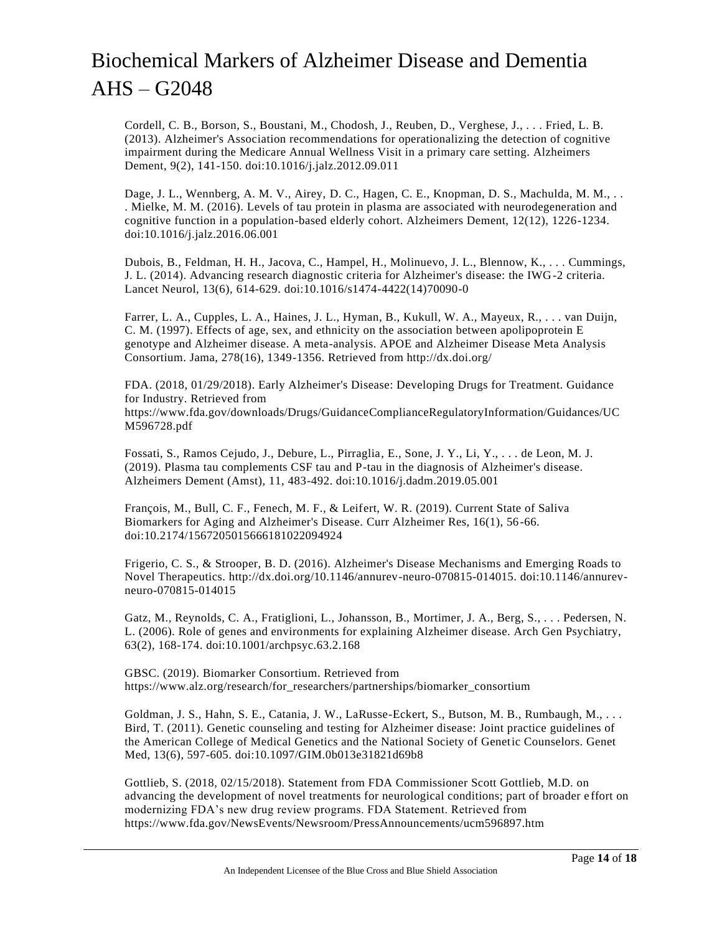Cordell, C. B., Borson, S., Boustani, M., Chodosh, J., Reuben, D., Verghese, J., . . . Fried, L. B. (2013). Alzheimer's Association recommendations for operationalizing the detection of cognitive impairment during the Medicare Annual Wellness Visit in a primary care setting. Alzheimers Dement, 9(2), 141-150. doi:10.1016/j.jalz.2012.09.011

Dage, J. L., Wennberg, A. M. V., Airey, D. C., Hagen, C. E., Knopman, D. S., Machulda, M. M., .. . Mielke, M. M. (2016). Levels of tau protein in plasma are associated with neurodegeneration and cognitive function in a population-based elderly cohort. Alzheimers Dement, 12(12), 1226-1234. doi:10.1016/j.jalz.2016.06.001

Dubois, B., Feldman, H. H., Jacova, C., Hampel, H., Molinuevo, J. L., Blennow, K., . . . Cummings, J. L. (2014). Advancing research diagnostic criteria for Alzheimer's disease: the IWG-2 criteria. Lancet Neurol, 13(6), 614-629. doi:10.1016/s1474-4422(14)70090-0

Farrer, L. A., Cupples, L. A., Haines, J. L., Hyman, B., Kukull, W. A., Mayeux, R., . . . van Duijn, C. M. (1997). Effects of age, sex, and ethnicity on the association between apolipoprotein E genotype and Alzheimer disease. A meta-analysis. APOE and Alzheimer Disease Meta Analysis Consortium. Jama, 278(16), 1349-1356. Retrieved from http://dx.doi.org/

FDA. (2018, 01/29/2018). Early Alzheimer's Disease: Developing Drugs for Treatment. Guidance for Industry. Retrieved from https://www.fda.gov/downloads/Drugs/GuidanceComplianceRegulatoryInformation/Guidances/UC M596728.pdf

Fossati, S., Ramos Cejudo, J., Debure, L., Pirraglia, E., Sone, J. Y., Li, Y., . . . de Leon, M. J. (2019). Plasma tau complements CSF tau and P-tau in the diagnosis of Alzheimer's disease. Alzheimers Dement (Amst), 11, 483-492. doi:10.1016/j.dadm.2019.05.001

François, M., Bull, C. F., Fenech, M. F., & Leifert, W. R. (2019). Current State of Saliva Biomarkers for Aging and Alzheimer's Disease. Curr Alzheimer Res, 16(1), 56-66. doi:10.2174/1567205015666181022094924

Frigerio, C. S., & Strooper, B. D. (2016). Alzheimer's Disease Mechanisms and Emerging Roads to Novel Therapeutics. http://dx.doi.org/10.1146/annurev-neuro-070815-014015. doi:10.1146/annurevneuro-070815-014015

Gatz, M., Reynolds, C. A., Fratiglioni, L., Johansson, B., Mortimer, J. A., Berg, S., . . . Pedersen, N. L. (2006). Role of genes and environments for explaining Alzheimer disease. Arch Gen Psychiatry, 63(2), 168-174. doi:10.1001/archpsyc.63.2.168

GBSC. (2019). Biomarker Consortium. Retrieved from https://www.alz.org/research/for\_researchers/partnerships/biomarker\_consortium

Goldman, J. S., Hahn, S. E., Catania, J. W., LaRusse-Eckert, S., Butson, M. B., Rumbaugh, M., . . . Bird, T. (2011). Genetic counseling and testing for Alzheimer disease: Joint practice guidelines of the American College of Medical Genetics and the National Society of Genetic Counselors. Genet Med, 13(6), 597-605. doi:10.1097/GIM.0b013e31821d69b8

Gottlieb, S. (2018, 02/15/2018). Statement from FDA Commissioner Scott Gottlieb, M.D. on advancing the development of novel treatments for neurological conditions; part of broader e ffort on modernizing FDA's new drug review programs. FDA Statement. Retrieved from https://www.fda.gov/NewsEvents/Newsroom/PressAnnouncements/ucm596897.htm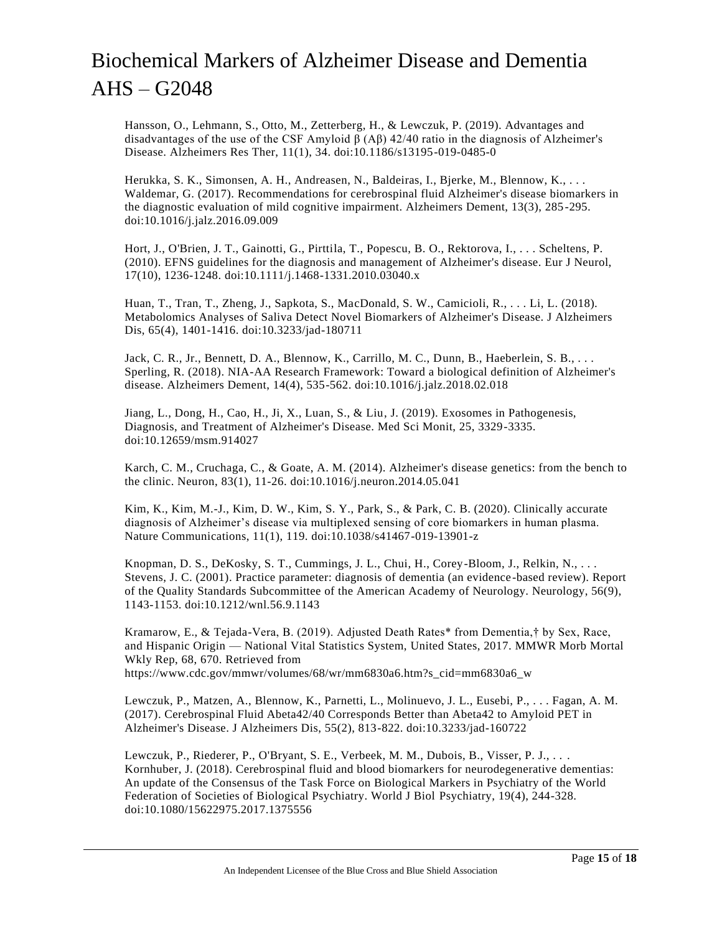Hansson, O., Lehmann, S., Otto, M., Zetterberg, H., & Lewczuk, P. (2019). Advantages and disadvantages of the use of the CSF Amyloid  $\beta$  (A $\beta$ ) 42/40 ratio in the diagnosis of Alzheimer's Disease. Alzheimers Res Ther, 11(1), 34. doi:10.1186/s13195-019-0485-0

Herukka, S. K., Simonsen, A. H., Andreasen, N., Baldeiras, I., Bjerke, M., Blennow, K., . . . Waldemar, G. (2017). Recommendations for cerebrospinal fluid Alzheimer's disease biomarkers in the diagnostic evaluation of mild cognitive impairment. Alzheimers Dement, 13(3), 285 -295. doi:10.1016/j.jalz.2016.09.009

Hort, J., O'Brien, J. T., Gainotti, G., Pirttila, T., Popescu, B. O., Rektorova, I., . . . Scheltens, P. (2010). EFNS guidelines for the diagnosis and management of Alzheimer's disease. Eur J Neurol, 17(10), 1236-1248. doi:10.1111/j.1468-1331.2010.03040.x

Huan, T., Tran, T., Zheng, J., Sapkota, S., MacDonald, S. W., Camicioli, R., . . . Li, L. (2018). Metabolomics Analyses of Saliva Detect Novel Biomarkers of Alzheimer's Disease. J Alzheimers Dis, 65(4), 1401-1416. doi:10.3233/jad-180711

Jack, C. R., Jr., Bennett, D. A., Blennow, K., Carrillo, M. C., Dunn, B., Haeberlein, S. B., . . . Sperling, R. (2018). NIA-AA Research Framework: Toward a biological definition of Alzheimer's disease. Alzheimers Dement, 14(4), 535-562. doi:10.1016/j.jalz.2018.02.018

Jiang, L., Dong, H., Cao, H., Ji, X., Luan, S., & Liu, J. (2019). Exosomes in Pathogenesis, Diagnosis, and Treatment of Alzheimer's Disease. Med Sci Monit, 25, 3329-3335. doi:10.12659/msm.914027

Karch, C. M., Cruchaga, C., & Goate, A. M. (2014). Alzheimer's disease genetics: from the bench to the clinic. Neuron, 83(1), 11-26. doi:10.1016/j.neuron.2014.05.041

Kim, K., Kim, M.-J., Kim, D. W., Kim, S. Y., Park, S., & Park, C. B. (2020). Clinically accurate diagnosis of Alzheimer's disease via multiplexed sensing of core biomarkers in human plasma. Nature Communications, 11(1), 119. doi:10.1038/s41467-019-13901-z

Knopman, D. S., DeKosky, S. T., Cummings, J. L., Chui, H., Corey-Bloom, J., Relkin, N., . . . Stevens, J. C. (2001). Practice parameter: diagnosis of dementia (an evidence -based review). Report of the Quality Standards Subcommittee of the American Academy of Neurology. Neurology, 56(9), 1143-1153. doi:10.1212/wnl.56.9.1143

Kramarow, E., & Tejada-Vera, B. (2019). Adjusted Death Rates\* from Dementia,† by Sex, Race, and Hispanic Origin — National Vital Statistics System, United States, 2017. MMWR Morb Mortal Wkly Rep, 68, 670. Retrieved from https://www.cdc.gov/mmwr/volumes/68/wr/mm6830a6.htm?s\_cid=mm6830a6\_w

Lewczuk, P., Matzen, A., Blennow, K., Parnetti, L., Molinuevo, J. L., Eusebi, P., . . . Fagan, A. M. (2017). Cerebrospinal Fluid Abeta42/40 Corresponds Better than Abeta42 to Amyloid PET in Alzheimer's Disease. J Alzheimers Dis, 55(2), 813-822. doi:10.3233/jad-160722

Lewczuk, P., Riederer, P., O'Bryant, S. E., Verbeek, M. M., Dubois, B., Visser, P. J., . . . Kornhuber, J. (2018). Cerebrospinal fluid and blood biomarkers for neurodegenerative dementias: An update of the Consensus of the Task Force on Biological Markers in Psychiatry of the World Federation of Societies of Biological Psychiatry. World J Biol Psychiatry, 19(4), 244-328. doi:10.1080/15622975.2017.1375556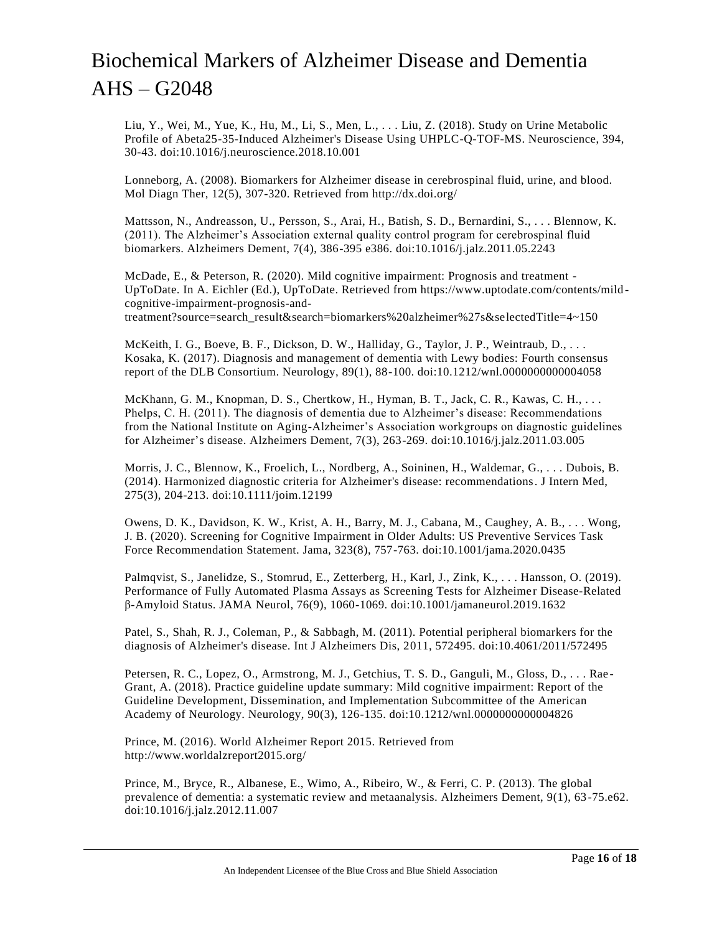Liu, Y., Wei, M., Yue, K., Hu, M., Li, S., Men, L., . . . Liu, Z. (2018). Study on Urine Metabolic Profile of Abeta25-35-Induced Alzheimer's Disease Using UHPLC-Q-TOF-MS. Neuroscience, 394, 30-43. doi:10.1016/j.neuroscience.2018.10.001

Lonneborg, A. (2008). Biomarkers for Alzheimer disease in cerebrospinal fluid, urine, and blood. Mol Diagn Ther, 12(5), 307-320. Retrieved from http://dx.doi.org/

Mattsson, N., Andreasson, U., Persson, S., Arai, H., Batish, S. D., Bernardini, S., . . . Blennow, K. (2011). The Alzheimer's Association external quality control program for cerebrospinal fluid biomarkers. Alzheimers Dement, 7(4), 386-395 e386. doi:10.1016/j.jalz.2011.05.2243

McDade, E., & Peterson, R. (2020). Mild cognitive impairment: Prognosis and treatment - UpToDate. In A. Eichler (Ed.), UpToDate. Retrieved from https://www.uptodate.com/contents/mild cognitive-impairment-prognosis-andtreatment?source=search\_result&search=biomarkers%20alzheimer%27s&selectedTitle=4~150

McKeith, I. G., Boeve, B. F., Dickson, D. W., Halliday, G., Taylor, J. P., Weintraub, D., ... Kosaka, K. (2017). Diagnosis and management of dementia with Lewy bodies: Fourth consensus report of the DLB Consortium. Neurology, 89(1), 88-100. doi:10.1212/wnl.0000000000004058

McKhann, G. M., Knopman, D. S., Chertkow, H., Hyman, B. T., Jack, C. R., Kawas, C. H., . . . Phelps, C. H. (2011). The diagnosis of dementia due to Alzheimer's disease: Recommendations from the National Institute on Aging-Alzheimer's Association workgroups on diagnostic guidelines for Alzheimer's disease. Alzheimers Dement, 7(3), 263-269. doi:10.1016/j.jalz.2011.03.005

Morris, J. C., Blennow, K., Froelich, L., Nordberg, A., Soininen, H., Waldemar, G., . . . Dubois, B. (2014). Harmonized diagnostic criteria for Alzheimer's disease: recommendations. J Intern Med, 275(3), 204-213. doi:10.1111/joim.12199

Owens, D. K., Davidson, K. W., Krist, A. H., Barry, M. J., Cabana, M., Caughey, A. B., . . . Wong, J. B. (2020). Screening for Cognitive Impairment in Older Adults: US Preventive Services Task Force Recommendation Statement. Jama, 323(8), 757-763. doi:10.1001/jama.2020.0435

Palmqvist, S., Janelidze, S., Stomrud, E., Zetterberg, H., Karl, J., Zink, K., . . . Hansson, O. (2019). Performance of Fully Automated Plasma Assays as Screening Tests for Alzheimer Disease-Related β-Amyloid Status. JAMA Neurol, 76(9), 1060-1069. doi:10.1001/jamaneurol.2019.1632

Patel, S., Shah, R. J., Coleman, P., & Sabbagh, M. (2011). Potential peripheral biomarkers for the diagnosis of Alzheimer's disease. Int J Alzheimers Dis, 2011, 572495. doi:10.4061/2011/572495

Petersen, R. C., Lopez, O., Armstrong, M. J., Getchius, T. S. D., Ganguli, M., Gloss, D., . . . Rae - Grant, A. (2018). Practice guideline update summary: Mild cognitive impairment: Report of the Guideline Development, Dissemination, and Implementation Subcommittee of the American Academy of Neurology. Neurology, 90(3), 126-135. doi:10.1212/wnl.0000000000004826

Prince, M. (2016). World Alzheimer Report 2015. Retrieved from http://www.worldalzreport2015.org/

Prince, M., Bryce, R., Albanese, E., Wimo, A., Ribeiro, W., & Ferri, C. P. (2013). The global prevalence of dementia: a systematic review and metaanalysis. Alzheimers Dement, 9(1), 63 -75.e62. doi:10.1016/j.jalz.2012.11.007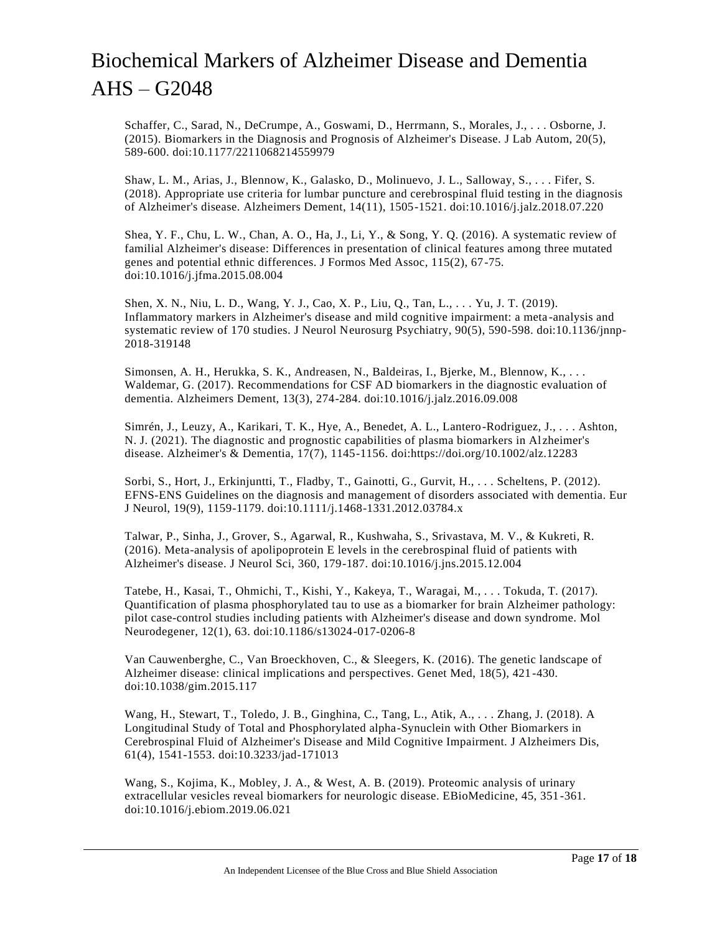Schaffer, C., Sarad, N., DeCrumpe, A., Goswami, D., Herrmann, S., Morales, J., . . . Osborne, J. (2015). Biomarkers in the Diagnosis and Prognosis of Alzheimer's Disease. J Lab Autom, 20(5), 589-600. doi:10.1177/2211068214559979

Shaw, L. M., Arias, J., Blennow, K., Galasko, D., Molinuevo, J. L., Salloway, S., . . . Fifer, S. (2018). Appropriate use criteria for lumbar puncture and cerebrospinal fluid testing in the diagnosis of Alzheimer's disease. Alzheimers Dement, 14(11), 1505-1521. doi:10.1016/j.jalz.2018.07.220

Shea, Y. F., Chu, L. W., Chan, A. O., Ha, J., Li, Y., & Song, Y. Q. (2016). A systematic review of familial Alzheimer's disease: Differences in presentation of clinical features among three mutated genes and potential ethnic differences. J Formos Med Assoc, 115(2), 67-75. doi:10.1016/j.jfma.2015.08.004

Shen, X. N., Niu, L. D., Wang, Y. J., Cao, X. P., Liu, Q., Tan, L., . . . Yu, J. T. (2019). Inflammatory markers in Alzheimer's disease and mild cognitive impairment: a meta -analysis and systematic review of 170 studies. J Neurol Neurosurg Psychiatry, 90(5), 590-598. doi:10.1136/jnnp-2018-319148

Simonsen, A. H., Herukka, S. K., Andreasen, N., Baldeiras, I., Bjerke, M., Blennow, K., . . . Waldemar, G. (2017). Recommendations for CSF AD biomarkers in the diagnostic evaluation of dementia. Alzheimers Dement, 13(3), 274-284. doi:10.1016/j.jalz.2016.09.008

Simrén, J., Leuzy, A., Karikari, T. K., Hye, A., Benedet, A. L., Lantero-Rodriguez, J., . . . Ashton, N. J. (2021). The diagnostic and prognostic capabilities of plasma biomarkers in Al zheimer's disease. Alzheimer's & Dementia, 17(7), 1145-1156. doi:https://doi.org/10.1002/alz.12283

Sorbi, S., Hort, J., Erkinjuntti, T., Fladby, T., Gainotti, G., Gurvit, H., . . . Scheltens, P. (2012). EFNS-ENS Guidelines on the diagnosis and management of disorders associated with dementia. Eur J Neurol, 19(9), 1159-1179. doi:10.1111/j.1468-1331.2012.03784.x

Talwar, P., Sinha, J., Grover, S., Agarwal, R., Kushwaha, S., Srivastava, M. V., & Kukreti, R. (2016). Meta-analysis of apolipoprotein E levels in the cerebrospinal fluid of patients with Alzheimer's disease. J Neurol Sci, 360, 179-187. doi:10.1016/j.jns.2015.12.004

Tatebe, H., Kasai, T., Ohmichi, T., Kishi, Y., Kakeya, T., Waragai, M., . . . Tokuda, T. (2017). Quantification of plasma phosphorylated tau to use as a biomarker for brain Alzheimer pathology: pilot case-control studies including patients with Alzheimer's disease and down syndrome. Mol Neurodegener, 12(1), 63. doi:10.1186/s13024-017-0206-8

Van Cauwenberghe, C., Van Broeckhoven, C., & Sleegers, K. (2016). The genetic landscape of Alzheimer disease: clinical implications and perspectives. Genet Med, 18(5), 421-430. doi:10.1038/gim.2015.117

Wang, H., Stewart, T., Toledo, J. B., Ginghina, C., Tang, L., Atik, A., . . . Zhang, J. (2018). A Longitudinal Study of Total and Phosphorylated alpha-Synuclein with Other Biomarkers in Cerebrospinal Fluid of Alzheimer's Disease and Mild Cognitive Impairment. J Alzheimers Dis, 61(4), 1541-1553. doi:10.3233/jad-171013

Wang, S., Kojima, K., Mobley, J. A., & West, A. B. (2019). Proteomic analysis of urinary extracellular vesicles reveal biomarkers for neurologic disease. EBioMedicine, 45, 351 -361. doi:10.1016/j.ebiom.2019.06.021